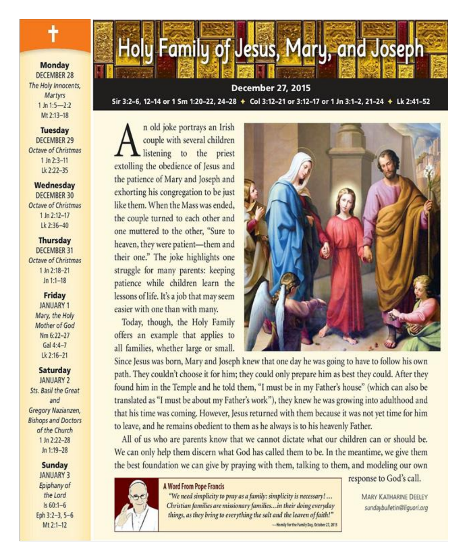**Monday DECEMBER 28** The Holy Innocents. Martyrs  $1 \ln 1:5 - 2:2$ Mt 2:13-18

**Tuesday DECEMBER 29** Octave of Christmas  $1$  Jn  $2:3-11$ Lk 2:22-35

Wednesday **DECEMBER 30** Octave of Christmas  $1 \ln 2:12 - 17$ Lk 2:36-40

**Thursday DECEMBER 31 Octave of Christmas** 1 Jn 2:18-21  $Jn 1:1-18$ 

#### **Friday**

JANUARY 1 Mary, the Holy Mother of God Nm 6:22-27 Gal  $4:4-7$ Lk 2:16-21

**Saturday JANUARY 2** Sts. Basil the Great and Gregory Nazianzen, **Bishops and Doctors** of the Church  $1 \ln 2:22 - 28$ Jn 1:19-28

> Sunday **JANUARY 3** Epiphany of the Lord  $Is 60:1-6$ Eph 3:2-3, 5-6 Mt 2:1-12



**December 27, 2015** Sir 3:2-6. 12-14 or 1 Sm 1:20-22, 24-28 + Col 3:12-21 or 3:12-17 or 1 Jn 3:1-2, 21-24 + Lk 2:41-52

n old joke portrays an Irish couple with several children listening to the priest extolling the obedience of Jesus and the patience of Mary and Joseph and exhorting his congregation to be just like them. When the Mass was ended, the couple turned to each other and one muttered to the other, "Sure to heaven, they were patient-them and their one." The joke highlights one struggle for many parents: keeping patience while children learn the lessons of life. It's a job that may seem easier with one than with many.

Today, though, the Holy Family offers an example that applies to all families, whether large or small.



Since Jesus was born, Mary and Joseph knew that one day he was going to have to follow his own path. They couldn't choose it for him; they could only prepare him as best they could. After they found him in the Temple and he told them, "I must be in my Father's house" (which can also be translated as "I must be about my Father's work"), they knew he was growing into adulthood and that his time was coming. However, Jesus returned with them because it was not yet time for him to leave, and he remains obedient to them as he always is to his heavenly Father.

All of us who are parents know that we cannot dictate what our children can or should be. We can only help them discern what God has called them to be. In the meantime, we give them the best foundation we can give by praying with them, talking to them, and modeling our own

#### A Word From Pope Francis

"We need simplicity to pray as a family: simplicity is necessary!... Christian families are missionary families...in their doing everyday things, as they bring to everything the salt and the leaven of faith!" -Homily for the Family Day, October 27, 2013 response to God's call.

MARY KATHARINE DEELEY sundaybulletin@liquori.org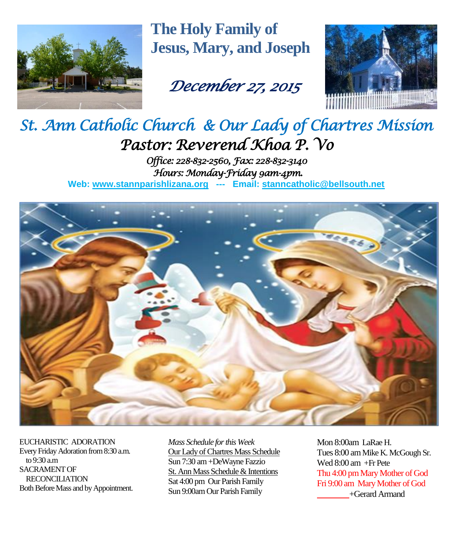

**The Holy Family of Jesus, Mary, and Joseph**

# *December 27, 2015*



## *St. Ann Catholic Church & Our Lady of Chartres Mission Pastor: Reverend Khoa P. Vo Office: 228-832-2560, Fax: 228-832-3140*

 *Hours: Monday-Friday 9am-4pm.*  **Web: www.stannparishlizana.org --- Email: [stanncatholic@bellsouth.net](mailto:stanncatholic@bellsouth.net)**



EUCHARISTIC ADORATION Every Friday Adoration from 8:30 a.m. to 9:30 a.m SACRAMENT OF RECONCILIATION Both Before Mass and by Appointment. *Mass Schedule for this Week*  Our Lady of Chartres Mass Schedule Sun 7:30 am +DeWayne Fazzio St. Ann Mass Schedule & Intentions Sat 4:00 pm Our Parish Family Sun 9:00am Our Parish Family

Mon 8:00am LaRae H. Tues 8:00 am Mike K. McGough Sr. Wed 8:00 am +Fr Pete Thu 4:00 pm Mary Mother of God Fri 9:00 am Mary Mother of God +Gerard Armand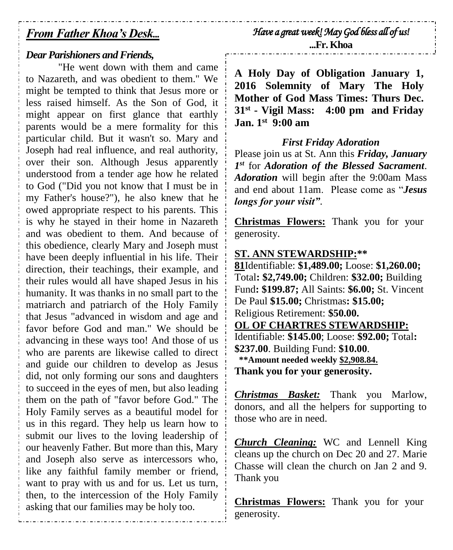### *From Father Khoa's Desk...*

#### *Dear Parishioners and Friends,*

"He went down with them and came to Nazareth, and was obedient to them." We might be tempted to think that Jesus more or less raised himself. As the Son of God, it might appear on first glance that earthly parents would be a mere formality for this particular child. But it wasn't so. Mary and Joseph had real influence, and real authority, over their son. Although Jesus apparently understood from a tender age how he related to God ("Did you not know that I must be in my Father's house?"), he also knew that he owed appropriate respect to his parents. This is why he stayed in their home in Nazareth and was obedient to them. And because of this obedience, clearly Mary and Joseph must have been deeply influential in his life. Their direction, their teachings, their example, and their rules would all have shaped Jesus in his humanity. It was thanks in no small part to the matriarch and patriarch of the Holy Family that Jesus "advanced in wisdom and age and favor before God and man." We should be advancing in these ways too! And those of us who are parents are likewise called to direct and guide our children to develop as Jesus did, not only forming our sons and daughters to succeed in the eyes of men, but also leading them on the path of "favor before God." The Holy Family serves as a beautiful model for us in this regard. They help us learn how to submit our lives to the loving leadership of our heavenly Father. But more than this, Mary and Joseph also serve as intercessors who, like any faithful family member or friend, want to pray with us and for us. Let us turn, then, to the intercession of the Holy Family asking that our families may be holy too.

*Have a great week! May God bless all of us!* 

**...Fr. Khoa**

**A Holy Day of Obligation January 1, 2016 Solemnity of Mary The Holy Mother of God Mass Times: Thurs Dec. 31st - Vigil Mass: 4:00 pm and Friday Jan. 1st 9:00 am**

#### *First Friday Adoration*

Please join us at St. Ann this *Friday, January 1 st* for *Adoration of the Blessed Sacrament*. *Adoration* will begin after the 9:00am Mass and end about 11am. Please come as "*Jesus longs for your visit"*.

**Christmas Flowers:** Thank you for your generosity.

#### **ST. ANN STEWARDSHIP:\*\***

**81**Identifiable: **\$1,489.00;** Loose: **\$1,260.00;**  Total**: \$2,749.00;** Children: **\$32.00;** Building Fund**: \$199.87;** All Saints: **\$6.00;** St. Vincent De Paul **\$15.00;** Christmas**: \$15.00;**  Religious Retirement: **\$50.00. OL OF CHARTRES STEWARDSHIP:** Identifiable: **\$145.00**; Loose: **\$92.00;** Total**: \$237.00**. Building Fund: **\$10.00**.  **\*\*Amount needed weekly \$2,908.84.**

**Thank you for your generosity.**

*Christmas Basket:* Thank you Marlow, donors, and all the helpers for supporting to those who are in need.

*Church Cleaning:* WC and Lennell King cleans up the church on Dec 20 and 27. Marie Chasse will clean the church on Jan 2 and 9. Thank you

**Christmas Flowers:** Thank you for your generosity.